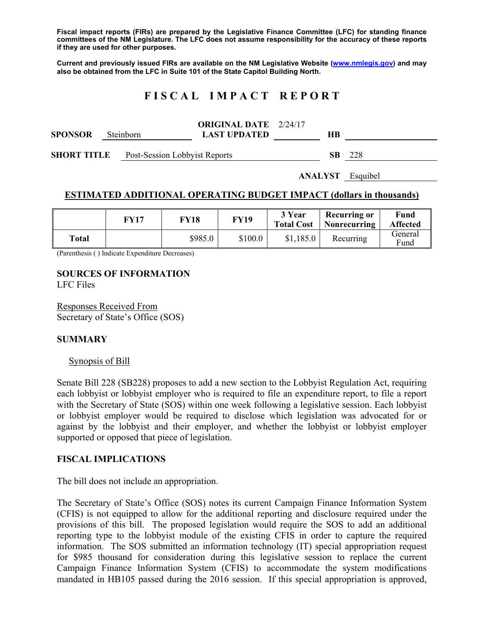**Fiscal impact reports (FIRs) are prepared by the Legislative Finance Committee (LFC) for standing finance committees of the NM Legislature. The LFC does not assume responsibility for the accuracy of these reports if they are used for other purposes.** 

**Current and previously issued FIRs are available on the NM Legislative Website (www.nmlegis.gov) and may also be obtained from the LFC in Suite 101 of the State Capitol Building North.** 

# **F I S C A L I M P A C T R E P O R T**

|                |                  | <b>ORIGINAL DATE</b> 2/24/17 |    |
|----------------|------------------|------------------------------|----|
| <b>SPONSOR</b> | <b>Steinborn</b> | <b>LAST UPDATED</b>          | HВ |
|                |                  |                              |    |

**SHORT TITLE** Post-Session Lobbyist Reports **SB** 228

**ANALYST** Esquibel

## **ESTIMATED ADDITIONAL OPERATING BUDGET IMPACT (dollars in thousands)**

|       | FY17 | FY18    | <b>FY19</b> | 3 Year<br><b>Total Cost</b> | Recurring or<br>Nonrecurring | Fund<br><b>Affected</b> |
|-------|------|---------|-------------|-----------------------------|------------------------------|-------------------------|
| Total |      | \$985.0 | \$100.0     | \$1,185.0                   | Recurring                    | General<br>Fund         |

(Parenthesis ( ) Indicate Expenditure Decreases)

# **SOURCES OF INFORMATION**

LFC Files

Responses Received From Secretary of State's Office (SOS)

## **SUMMARY**

#### Synopsis of Bill

Senate Bill 228 (SB228) proposes to add a new section to the Lobbyist Regulation Act, requiring each lobbyist or lobbyist employer who is required to file an expenditure report, to file a report with the Secretary of State (SOS) within one week following a legislative session. Each lobbyist or lobbyist employer would be required to disclose which legislation was advocated for or against by the lobbyist and their employer, and whether the lobbyist or lobbyist employer supported or opposed that piece of legislation.

#### **FISCAL IMPLICATIONS**

The bill does not include an appropriation.

The Secretary of State's Office (SOS) notes its current Campaign Finance Information System (CFIS) is not equipped to allow for the additional reporting and disclosure required under the provisions of this bill. The proposed legislation would require the SOS to add an additional reporting type to the lobbyist module of the existing CFIS in order to capture the required information. The SOS submitted an information technology (IT) special appropriation request for \$985 thousand for consideration during this legislative session to replace the current Campaign Finance Information System (CFIS) to accommodate the system modifications mandated in HB105 passed during the 2016 session. If this special appropriation is approved,